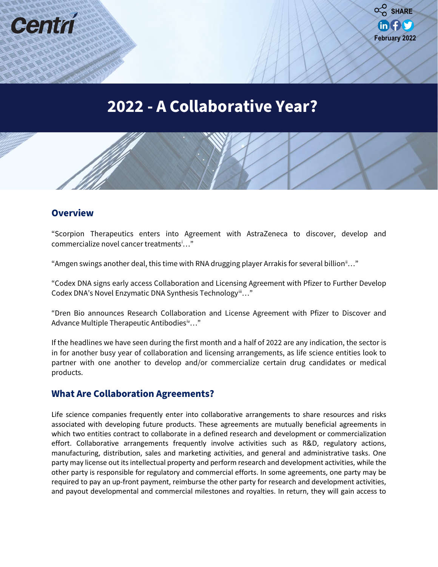



# **2022 - A Collaborative Year?**

#### **Overview**

"Scorpion Therapeutics enters into Agreement with AstraZeneca to discover, develop and commercialize novel cancer treatments[i](#page-2-0) …"

"Amgen swings another deal, this time with RNA drugging player Arrakis for several billion<sup>[ii](#page-2-1)</sup>..."

"Codex DNA signs early access Collaboration and Licensing Agreement with Pfizer to Further Develop Codex DNA's Novel Enzymatic DNA Synthesis Technologyii..."

"Dren Bio announces Research Collaboration and License Agreement with Pfizer to Discover and Advance Multiple Therapeutic Antibodies<sup>iv..."</sup>

If the headlines we have seen during the first month and a half of 2022 are any indication, the sector is in for another busy year of collaboration and licensing arrangements, as life science entities look to partner with one another to develop and/or commercialize certain drug candidates or medical products.

#### **What Are Collaboration Agreements?**

Life science companies frequently enter into collaborative arrangements to share resources and risks associated with developing future products. These agreements are mutually beneficial agreements in which two entities contract to collaborate in a defined research and development or commercialization effort. Collaborative arrangements frequently involve activities such as R&D, regulatory actions, manufacturing, distribution, sales and marketing activities, and general and administrative tasks. One party may license out its intellectual property and perform research and development activities, while the other party is responsible for regulatory and commercial efforts. In some agreements, one party may be required to pay an up-front payment, reimburse the other party for research and development activities, and payout developmental and commercial milestones and royalties. In return, they will gain access to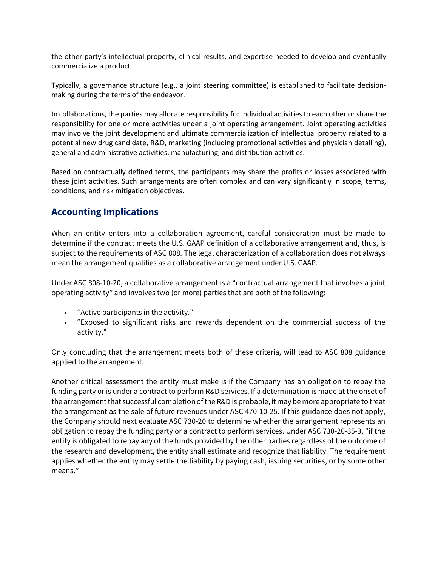the other party's intellectual property, clinical results, and expertise needed to develop and eventually commercialize a product.

Typically, a governance structure (e.g., a joint steering committee) is established to facilitate decisionmaking during the terms of the endeavor.

In collaborations, the parties may allocate responsibility for individual activities to each other or share the responsibility for one or more activities under a joint operating arrangement. Joint operating activities may involve the joint development and ultimate commercialization of intellectual property related to a potential new drug candidate, R&D, marketing (including promotional activities and physician detailing), general and administrative activities, manufacturing, and distribution activities.

Based on contractually defined terms, the participants may share the profits or losses associated with these joint activities. Such arrangements are often complex and can vary significantly in scope, terms, conditions, and risk mitigation objectives.

## **Accounting Implications**

When an entity enters into a collaboration agreement, careful consideration must be made to determine if the contract meets the U.S. GAAP definition of a collaborative arrangement and, thus, is subject to the requirements of ASC 808. The legal characterization of a collaboration does not always mean the arrangement qualifies as a collaborative arrangement under U.S. GAAP.

Under ASC 808-10-20, a collaborative arrangement is a "contractual arrangement that involves a joint operating activity" and involves two (or more) parties that are both of the following:

- "Active participants in the activity."
- "Exposed to significant risks and rewards dependent on the commercial success of the activity."

Only concluding that the arrangement meets both of these criteria, will lead to ASC 808 guidance applied to the arrangement.

Another critical assessment the entity must make is if the Company has an obligation to repay the funding party or is under a contract to perform R&D services. If a determination is made at the onset of the arrangement that successful completion of the R&D is probable, it may be more appropriate to treat the arrangement as the sale of future revenues under ASC 470-10-25. If this guidance does not apply, the Company should next evaluate ASC 730-20 to determine whether the arrangement represents an obligation to repay the funding party or a contract to perform services. Under ASC 730-20-35-3, "if the entity is obligated to repay any of the funds provided by the other parties regardless of the outcome of the research and development, the entity shall estimate and recognize that liability. The requirement applies whether the entity may settle the liability by paying cash, issuing securities, or by some other means."